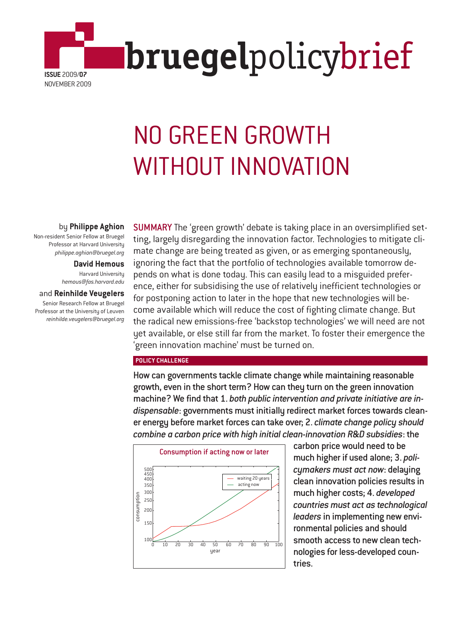

# NO GREEN GROWTH WITHOUT INNOVATION

# by **Philippe Aghion**

Non-resident Senior Fellow at Bruegel Professor at Harvard University *philippe.aghion@bruegel.org*

# **David Hemous**

Harvard University *hemous@fas.harvard.edu*

and **Reinhilde Veugelers** Senior Research Fellow at Bruegel Professor at the University of Leuven *reinhilde.veugelers@bruegel.org* SUMMARY The 'green growth' debate is taking place in an oversimplified setting, largely disregarding the innovation factor. Technologies to mitigate climate change are being treated as given, or as emerging spontaneously, ignoring the fact that the portfolio of technologies available tomorrow depends on what is done today. This can easily lead to a misguided preference, either for subsidising the use of relatively inefficient technologies or for postponing action to later in the hope that new technologies will become available which will reduce the cost of fighting climate change. But the radical new emissions-free 'backstop technologies' we will need are not yet available, or else still far from the market. To foster their emergence the 'green innovation machine' must be turned on.

### **POLICY CHALLENGE**

How can governments tackle climate change while maintaining reasonable growth, even in the short term? How can they turn on the green innovation machine? We find that 1. *both public intervention and private initiative are indispensable*: governments must initially redirect market forces towards cleaner energy before market forces can take over; 2. *climate change policy should combine a carbon price with high initial clean-innovation R&D subsidies*: the



carbon price would need to be much higher if used alone; 3. *policymakers must act now*: delaying clean innovation policies results in much higher costs; 4. *developed countries must act as technological leaders* in implementing new environmental policies and should smooth access to new clean technologies for less-developed countries.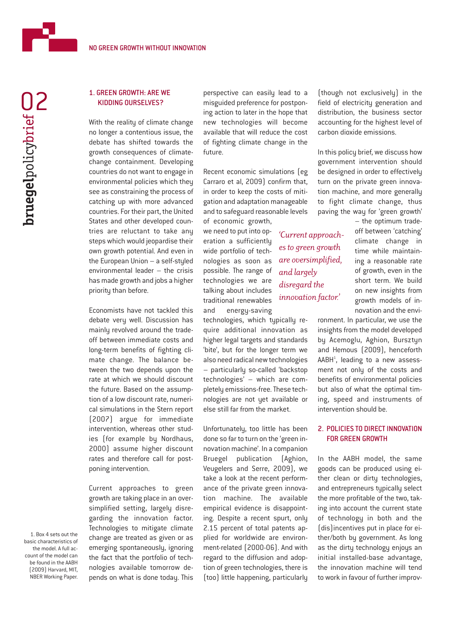# 1. GREEN GROWTH: ARE WE KIDDING OURSELVES?

NO GREEN GROWTH WITHOUT INNOVATION

With the reality of climate change no longer a contentious issue, the debate has shifted towards the growth consequences of climatechange containment. Developing countries do not want to engage in environmental policies which they see as constraining the process of catching up with more advanced countries. For their part, the United States and other developed countries are reluctant to take any steps which would jeopardise their own growth potential. And even in the European Union – a self-styled environmental leader – the crisis has made growth and jobs a higher priority than before.

Economists have not tackled this debate very well. Discussion has mainly revolved around the tradeoff between immediate costs and long-term benefits of fighting climate change. The balance between the two depends upon the rate at which we should discount the future. Based on the assumption of a low discount rate, numerical simulations in the Stern report (2007) argue for immediate intervention, whereas other studies (for example by Nordhaus, 2000) assume higher discount rates and therefore call for postponing intervention.

Current approaches to green growth are taking place in an oversimplified setting, largely disregarding the innovation factor. Technologies to mitigate climate change are treated as given or as emerging spontaneously, ignoring the fact that the portfolio of technologies available tomorrow depends on what is done today. This perspective can easily lead to a misguided preference for postponing action to later in the hope that new technologies will become available that will reduce the cost of fighting climate change in the future.

Recent economic simulations (eg Carraro et al, 2009) confirm that, in order to keep the costs of mitigation and adaptation manageable and to safeguard reasonable levels of economic growth,

> *'Current approaches to green growth are oversimplified,*

*and largely disregard the innovation factor.'*

we need to put into operation a sufficiently wide portfolio of technologies as soon as possible. The range of technologies we are talking about includes traditional renewables and energy-saving

technologies, which typically require additional innovation as higher legal targets and standards 'bite', but for the longer term we also need radical new technologies – particularly so-called 'backstop technologies' – which are completely emissions-free. These technologies are not yet available or else still far from the market.

Unfortunately, too little has been done so far to turn on the 'green innovation machine'. In a companion Bruegel publication (Aghion, Veugelers and Serre, 2009), we take a look at the recent performance of the private green innovation machine. The available empirical evidence is disappointing. Despite a recent spurt, only 2.15 percent of total patents applied for worldwide are environment-related (2000-06). And with regard to the diffusion and adoption of green technologies, there is (too) little happening, particularly

(though not exclusively) in the field of electricity generation and distribution, the business sector accounting for the highest level of carbon dioxide emissions.

In this policy brief, we discuss how government intervention should be designed in order to effectively turn on the private green innovation machine, and more generally to fight climate change, thus paving the way for 'green growth'

> – the optimum tradeoff between 'catching' climate change in time while maintaining a reasonable rate of growth, even in the short term. We build on new insights from growth models of innovation and the envi-

ronment. In particular, we use the insights from the model developed by Acemoglu, Aghion, Bursztyn and Hemous (2009), henceforth AABH<sup>1</sup>, leading to a new assessment not only of the costs and benefits of environmental policies but also of what the optimal timing, speed and instruments of intervention should be.

# 2. POLICIES TO DIRECT INNOVATION FOR GREEN GROWTH

In the AABH model, the same goods can be produced using either clean or dirty technologies, and entrepreneurs typically select the more profitable of the two, taking into account the current state of technology in both and the (dis)incentives put in place for either/both by government. As long as the dirty technology enjoys an initial installed-base advantage, the innovation machine will tend to work in favour of further improv-

1. Box 4 sets out the basic characteristics of the model. A full account of the model can be found in the AABH (2009) Harvard, MIT, NBER Working Paper.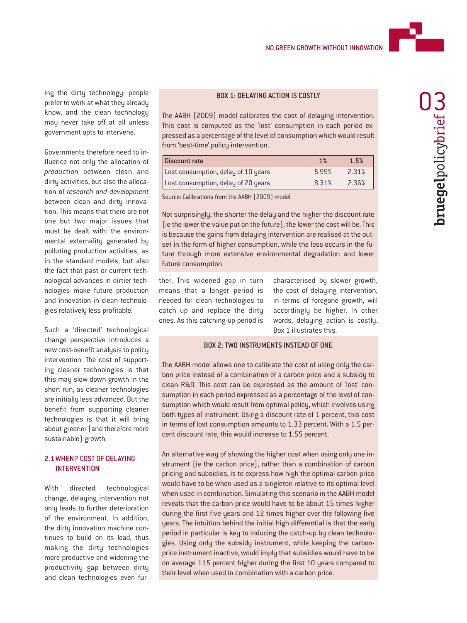

ing the dirty technology: people<br>
prefer to work at what they already<br>
Know, and the clean technology The AABH (2009) model calibrates the cost of delaying intervention. prefer to work at what they already know, and the clean technology may never take off at all unless government opts to intervene.

Governments therefore need to influence not only the allocation of *production* between clean and dirty activities, but also the allocation of *research and development* between clean and dirty innovation. This means that there are not one but two major issues that must be dealt with: the environmental externality generated by polluting production activities, as in the standard models, but also the fact that past or current technological advances in dirtier technologies make future production and innovation in clean technologies relatively less profitable.

Such a 'directed' technological change perspective introduces a new cost-benefit analysis to policy intervention. The cost of supporting cleaner technologies is that this may slow down growth in the short run, as cleaner technologies are initially less advanced. But the benefit from supporting cleaner technologies is that it will bring about greener (and therefore more sustainable) growth.

## 2.1 WHEN? COST OF DELAYING **INTERVENTION**

With directed technological change, delaying intervention not only leads to further deterioration of the environment. In addition, the dirty innovation machine continues to build on its lead, thus making the dirty technologies more productive and widening the productivity gap between dirty and clean technologies even fur-

#### BOX 1: DELAYING ACTION IS COSTLY

This cost is computed as the 'lost' consumption in each period expressed as a percentage of the level of consumption which would result from 'best-time' policy intervention.

| Discount rate                       | 1%    | 1.5%  |
|-------------------------------------|-------|-------|
| Lost consumption, delay of 10 years | 5.99% | 2.31% |
| Lost consumption, delay of 20 years | 8.31% | 2.36% |

Source: Calibrations from the AABH (2009) model

Not surprisingly, the shorter the delay and the higher the discount rate (ie the lower the value put on the future), the lower the cost will be. This is because the gains from delaying intervention are realised at the outset in the form of higher consumption, while the loss occurs in the future through more extensive environmental degradation and lower future consumption.

ther. This widened gap in turn means that a longer period is needed for clean technologies to catch up and replace the dirty ones. As this catching-up period is

characterised by slower growth, the cost of delaying intervention, in terms of foregone growth, will accordingly be higher. In other words, delaying action is costly. Box 1 illustrates this.

#### BOX 2: TWO INSTRUMENTS INSTEAD OF ONE

The AABH model allows one to calibrate the cost of using only the carbon price instead of a combination of a carbon price and a subsidy to clean R&D. This cost can be expressed as the amount of 'lost' consumption in each period expressed as a percentage of the level of consumption which would result from optimal policy, which involves using both types of instrument. Using a discount rate of 1 percent, this cost in terms of lost consumption amounts to 1.33 percent. With a 1.5 percent discount rate, this would increase to 1.55 percent.

An alternative way of showing the higher cost when using only one instrument (ie the carbon price), rather than a combination of carbon pricing and subsidies, is to express how high the optimal carbon price would have to be when used as a singleton relative to its optimal level when used in combination. Simulating this scenario in the AABH model reveals that the carbon price would have to be about 15 times higher during the first five years and 12 times higher over the following five years. The intuition behind the initial high differential is that the early period in particular is key to inducing the catch-up by clean technologies. Using only the subsidy instrument, while keeping the carbonprice instrument inactive, would imply that subsidies would have to be on average 115 percent higher during the first 10 years compared to their level when used in combination with a carbon price.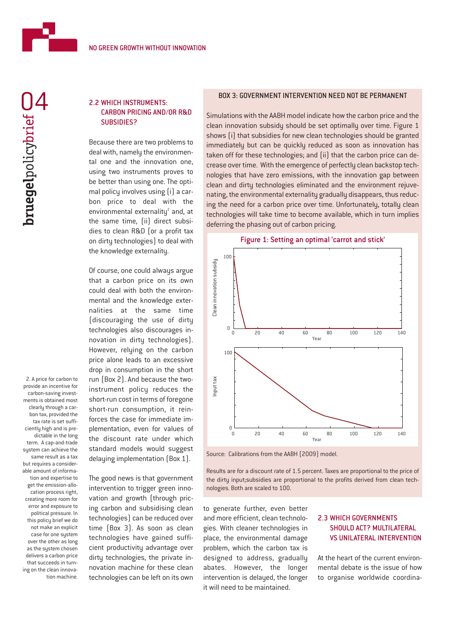

# 2.2 WHICH INSTRUMENTS: CARBON PRICING AND/OR R&D SUBSIDIES?

Because there are two problems to deal with, namely the environmental one and the innovation one, using two instruments proves to be better than using one. The optimal policy involves using (i) a carbon price to deal with the environmental externality<sup>2</sup> and, at the same time, (ii) direct subsidies to clean R&D (or a profit tax on dirty technologies) to deal with the knowledge externality.

Of course, one could always argue that a carbon price on its own could deal with both the environmental and the knowledge externalities at the same time (discouraging the use of dirty technologies also discourages innovation in dirty technologies). However, relying on the carbon price alone leads to an excessive drop in consumption in the short run (Box 2). And because the twoinstrument policy reduces the short-run cost in terms of foregone short-run consumption, it reinforces the case for immediate implementation, even for values of the discount rate under which standard models would suggest delaying implementation (Box 1).

The good news is that government intervention to trigger green innovation and growth (through pricing carbon and subsidising clean technologies) can be reduced over time (Box 3). As soon as clean technologies have gained sufficient productivity advantage over dirty technologies, the private innovation machine for these clean technologies can be left on its own

#### BOX 3: GOVERNMENT INTERVENTION NEED NOT BE PERMANENT

Simulations with the AABH model indicate how the carbon price and the clean innovation subsidy should be set optimally over time. Figure 1 shows (i) that subsidies for new clean technologies should be granted immediately but can be quickly reduced as soon as innovation has taken off for these technologies; and (ii) that the carbon price can decrease over time. With the emergence of perfectly clean backstop technologies that have zero emissions, with the innovation gap between clean and dirty technologies eliminated and the environment rejuvenating, the environmental externality gradually disappears, thus reducing the need for a carbon price over time. Unfortunately, totally clean technologies will take time to become available, which in turn implies deferring the phasing out of carbon pricing.



Source: Calibrations from the AABH (2009) model.

Results are for a discount rate of 1.5 percent. Taxes are proportional to the price of the dirty input;subsidies are proportional to the profits derived from clean technologies. Both are scaled to 100.

to generate further, even better and more efficient, clean technologies. With cleaner technologies in place, the environmental damage problem, which the carbon tax is designed to address, gradually abates. However, the longer intervention is delayed, the longer it will need to be maintained.

# 2.3 WHICH GOVERNMENTS SHOULD ACT? MULTILATERAL VS UNILATERAL INTERVENTION

At the heart of the current environmental debate is the issue of how to organise worldwide coordina-

#### ments is obtained most clearly through a carbon tax, provided the tax rate is set sufficiently high and is predictable in the long term. A cap-and-trade system can achieve the same result as a tax but requires a considerable amount of information and expertise to get the emission-allocation process right, creating more room for error and exposure to political pressure. In this policy brief we do not make an explicit case for one system over the other as long as the system chosen delivers a carbon price that succeeds in turning on the clean innovation machine.

2. A price for carbon to provide an incentive for carbon-saving invest-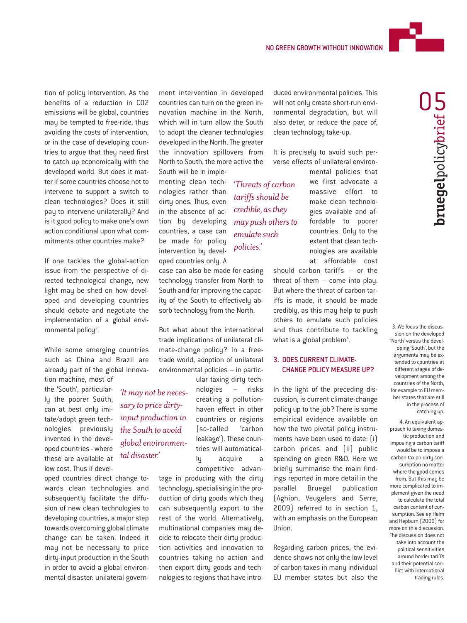

If one tackles the global-action issue from the perspective of directed technological change, new light may be shed on how developed and developing countries should debate and negotiate the implementation of a global environmental policy<sup>3</sup>.

While some emerging countries such as China and Brazil are already part of the global innovation machine, most of

the 'South', particularly the poorer South, can at best only imitate/adopt green technologies previously invented in the developed countries - where these are available at low cost. Thus if devel-

oped countries direct change towards clean technologies and subsequently facilitate the diffusion of new clean technologies to developing countries, a major step towards overcoming global climate change can be taken. Indeed it may not be necessary to price dirty-input production in the South in order to avoid a global environmental disaster: unilateral government intervention in developed countries can turn on the green innovation machine in the North, which will in turn allow the South to adopt the cleaner technologies developed in the North. The greater the innovation spillovers from North to South, the more active the South will be in imple-

menting clean technologies rather than dirty ones. Thus, even in the absence of action by developing countries, a case can be made for policy intervention by developed countries only. A

case can also be made for easing technology transfer from North to South and for improving the capacity of the South to effectively absorb technology from the North.

But what about the international trade implications of unilateral climate-change policy? In a freetrade world, adoption of unilateral environmental policies – in particular taxing dirty tech-

nologies – risks creating a pollutionhaven effect in other countries or regions (so-called 'carbon leakage'). These countries will automatically acquire a *'It may not be necessary to price dirtyinput production in the South to avoid global environmental disaster.'*

competitive advantage in producing with the dirty technology, specialising in the production of dirty goods which they can subsequently export to the rest of the world. Alternatively, multinational companies may decide to relocate their dirty production activities and innovation to countries taking no action and then export dirty goods and tech-

nologies to regions that have intro-

duced environmental policies. This will not only create short-run environmental degradation, but will also deter, or reduce the pace of, clean technology take-up.

It is precisely to avoid such perverse effects of unilateral environ-

*'Threats of carbon tariffs should be credible, as they may push others to emulate such policies.'*

mental policies that we first advocate a massive effort to make clean technologies available and affordable to poorer countries. Only to the extent that clean technologies are available at affordable cost

should carbon tariffs – or the threat of them – come into play. But where the threat of carbon tariffs is made, it should be made credibly, as this may help to push others to emulate such policies and thus contribute to tackling what is a global problem $4$ .

#### 3. DOES CURRENT CLIMATE-CHANGE POLICY MEASURE UP?

In the light of the preceding discussion, is current climate-change policy up to the job? There is some empirical evidence available on how the two pivotal policy instruments have been used to date: (i) carbon prices and (ii) public spending on green R&D. Here we briefly summarise the main findings reported in more detail in the parallel Bruegel publication (Aghion, Veugelers and Serre, 2009) referred to in section 1, with an emphasis on the European Union.

Regarding carbon prices, the evidence shows not only the low level of carbon taxes in many individual EU member states but also the

3. We focus the discussion on the developed 'North' versus the developing 'South', but the arguments may be extended to countries at different stages of development among the countries of the North, for example to EU member states that are still in the process of catching up.

4. An equivalent approach to taxing domestic production and imposing a carbon tariff would be to impose a carbon tax on dirtu consumption no matter where the good comes from. But this may be more complicated to implement given the need to calculate the total carbon content of consumption. See eg Helm and Hepburn (2009) for more on this discussion. The discussion does not take into account the political sensitivities around border tariffs and their potential conflict with international trading rules.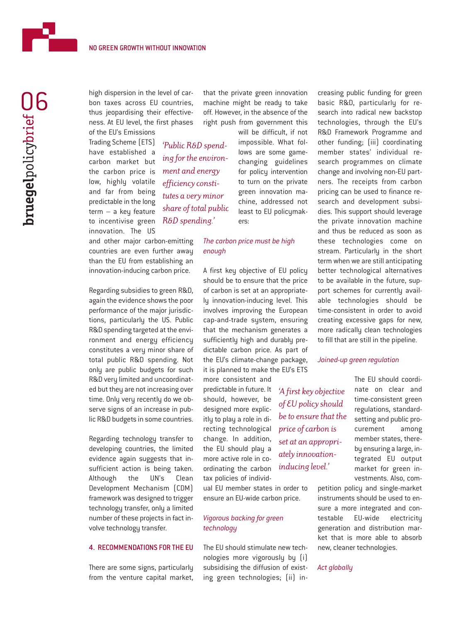

high dispersion in the level of carbon taxes across EU countries, thus jeopardising their effectiveness. At EU level, the first phases of the EU's Emissions

*'Public R&D spend-*

*ment and energy efficiency constitutes a very minor*

*R&D spending.'*

Trading Scheme (ETS) have established a carbon market but the carbon price is low, highly volatile and far from being predictable in the long term – a key feature to incentivise green innovation. The US

and other major carbon-emitting countries are even further away than the EU from establishing an innovation-inducing carbon price.

Regarding subsidies to green R&D, again the evidence shows the poor performance of the major jurisdictions, particularly the US. Public R&D spending targeted at the environment and energy efficiency constitutes a very minor share of total public R&D spending. Not only are public budgets for such R&D very limited and uncoordinated but they are not increasing over time. Only very recently do we observe signs of an increase in public R&D budgets in some countries.

Regarding technology transfer to developing countries, the limited evidence again suggests that insufficient action is being taken. Although the UN's Clean Development Mechanism (CDM) framework was designed to trigger technology transfer, only a limited number of these projects in fact involve technology transfer.

#### 4. RECOMMENDATIONS FOR THE EU

There are some signs, particularly from the venture capital market, that the private green innovation machine might be ready to take off. However, in the absence of the right push from government this

will be difficult, if not impossible. What follows are some gamechanging guidelines for policy intervention to turn on the private green innovation machine, addressed not least to EU policymakers: *ing for the environshare of total public*

> *The carbon price must be high enough*

A first key objective of EU policy should be to ensure that the price of carbon is set at an appropriately innovation-inducing level. This involves improving the European cap-and-trade system, ensuring that the mechanism generates a sufficiently high and durably predictable carbon price. As part of the EU's climate-change package, it is planned to make the EU's ETS

more consistent and predictable in future. It should, however, be designed more explicitly to play a role in directing technological change. In addition, the EU should play a more active role in coordinating the carbon tax policies of individ-

ual EU member states in order to ensure an EU-wide carbon price.

#### *Vigorous backing for green technology*

The EU should stimulate new technologies more vigorously by (i) subsidising the diffusion of existing green technologies; (ii) increasing public funding for green basic R&D, particularly for research into radical new backstop technologies, through the EU's R&D Framework Programme and other funding; (iii) coordinating member states' individual research programmes on climate change and involving non-EU partners. The receipts from carbon pricing can be used to finance research and development subsidies. This support should leverage the private innovation machine and thus be reduced as soon as these technologies come on stream. Particularly in the short term when we are still anticipating better technological alternatives to be available in the future, support schemes for currently available technologies should be time-consistent in order to avoid creating excessive gaps for new, more radically clean technologies to fill that are still in the pipeline.

#### *Joined-up green regulation*

The EU should coordinate on clear and time-consistent green regulations, standardsetting and public procurement among member states, thereby ensuring a large, integrated EU output market for green investments. Also, com-

petition policy and single-market instruments should be used to ensure a more integrated and contestable EU-wide electricity generation and distribution market that is more able to absorb new, cleaner technologies.

#### *Act globally*

# *'A first key objective of EU policy should be to ensure that the price of carbon is set at an appropriately innovationinducing level.'*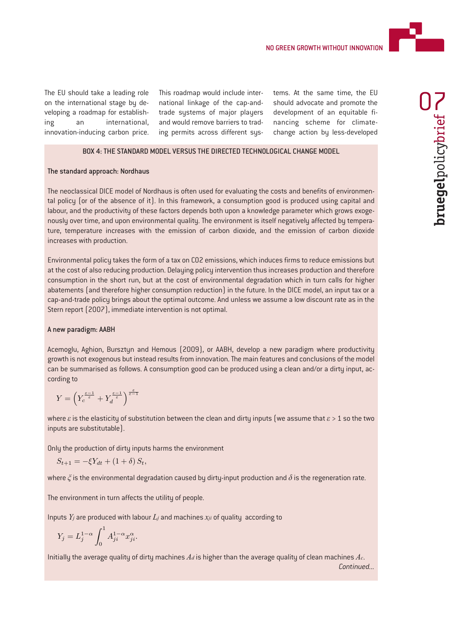

The EU should take a leading role on the international stage by developing a roadmap for establishing an international, innovation-inducing carbon price. This roadmap would include international linkage of the cap-andtrade systems of major players and would remove barriers to trading permits across different systems. At the same time, the EU should advocate and promote the development of an equitable financing scheme for climatechange action by less-developed

#### BOX 4: THE STANDARD MODEL VERSUS THE DIRECTED TECHNOLOGICAL CHANGE MODEL

#### The standard approach: Nordhaus

The neoclassical DICE model of Nordhaus is often used for evaluating the costs and benefits of environmental policy (or of the absence of it). In this framework, a consumption good is produced using capital and labour, and the productivity of these factors depends both upon a knowledge parameter which grows exogenously over time, and upon environmental quality. The environment is itself negatively affected by temperature, temperature increases with the emission of carbon dioxide, and the emission of carbon dioxide increases with production.

Environmental policy takes the form of a tax on CO2 emissions, which induces firms to reduce emissions but at the cost of also reducing production. Delaying policy intervention thus increases production and therefore consumption in the short run, but at the cost of environmental degradation which in turn calls for higher abatements (and therefore higher consumption reduction) in the future. In the DICE model, an input tax or a cap-and-trade policy brings about the optimal outcome. And unless we assume a low discount rate as in the Stern report (2007), immediate intervention is not optimal.

#### A new paradigm: AABH

Acemoglu, Aghion, Bursztyn and Hemous (2009), or AABH, develop a new paradigm where productivity growth is not exogenous but instead results from innovation. The main features and conclusions of the model can be summarised as follows. A consumption good can be produced using a clean and/or a dirty input, according to

$$
Y = \left(Y_c^{\frac{\varepsilon-1}{\varepsilon}} + Y_d^{\frac{\varepsilon-1}{\varepsilon}}\right)^{\frac{\varepsilon}{\varepsilon-1}}
$$

where *ε*is the elasticity of substitution between the clean and dirty inputs (we assume that *ε* > 1 so the two inputs are substitutable).

Only the production of dirty inputs harms the environment

$$
S_{t+1} = -\xi Y_{dt} + (1+\delta) S_t,
$$

where *ξ* is the environmental degradation caused by dirty-input production and *δ* is the regeneration rate.

The environment in turn affects the utility of people.

Inputs *Yj* are produced with labour *Lj* and machines *xji* of quality according to

$$
Y_j = L_j^{1-\alpha} \int_0^1 A_{ji}^{1-\alpha} x_{ji}^{\alpha}.
$$

Initially the average quality of dirty machines *Ad* is higher than the average quality of clean machines *Ac*. *Continued...*